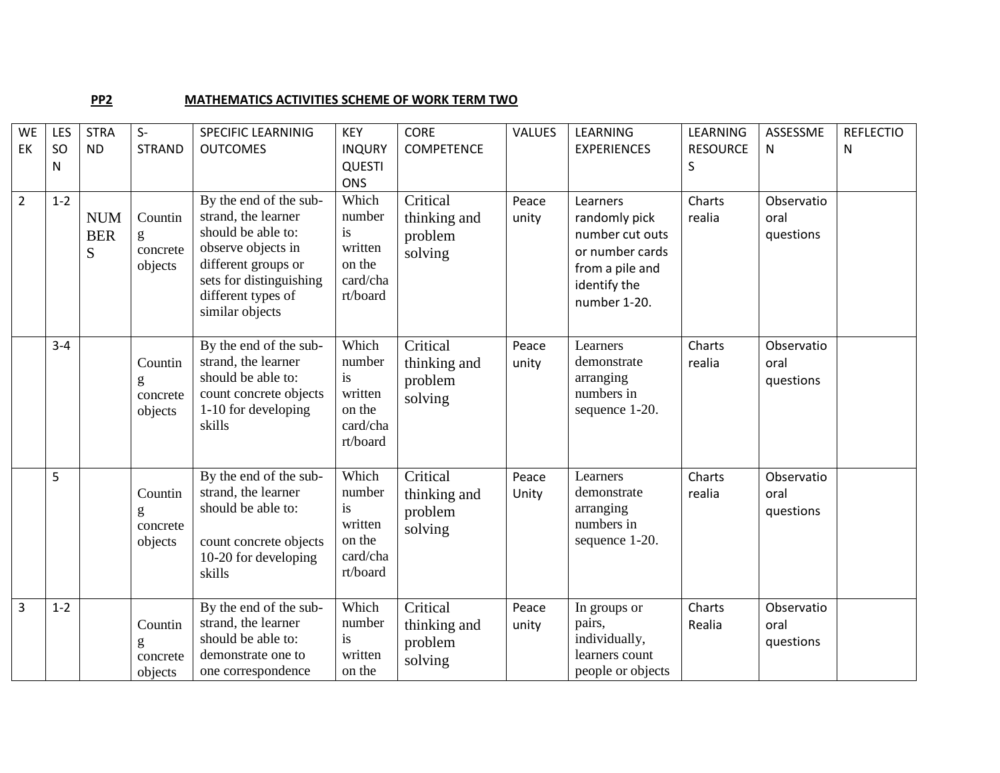## **PP2** MATHEMATICS ACTIVITIES SCHEME OF WORK TERM TWO

|                | <b>WE</b><br>EK | LES<br>SO<br>N | <b>STRA</b><br><b>ND</b>      | $S-$<br><b>STRAND</b>               | <b>SPECIFIC LEARNINIG</b><br><b>OUTCOMES</b>                                                                                                                                         | <b>KEY</b><br><b>INQURY</b><br><b>QUESTI</b><br><b>ONS</b>         | <b>CORE</b><br><b>COMPETENCE</b>               | <b>VALUES</b>  | LEARNING<br><b>EXPERIENCES</b>                                                                                     | LEARNING<br><b>RESOURCE</b><br>S | ASSESSME<br>N                   | <b>REFLECTIO</b><br>N |
|----------------|-----------------|----------------|-------------------------------|-------------------------------------|--------------------------------------------------------------------------------------------------------------------------------------------------------------------------------------|--------------------------------------------------------------------|------------------------------------------------|----------------|--------------------------------------------------------------------------------------------------------------------|----------------------------------|---------------------------------|-----------------------|
| $\overline{2}$ |                 | $1 - 2$        | <b>NUM</b><br><b>BER</b><br>S | Countin<br>g<br>concrete<br>objects | By the end of the sub-<br>strand, the learner<br>should be able to:<br>observe objects in<br>different groups or<br>sets for distinguishing<br>different types of<br>similar objects | Which<br>number<br>is<br>written<br>on the<br>card/cha<br>rt/board | Critical<br>thinking and<br>problem<br>solving | Peace<br>unity | Learners<br>randomly pick<br>number cut outs<br>or number cards<br>from a pile and<br>identify the<br>number 1-20. | Charts<br>realia                 | Observatio<br>oral<br>questions |                       |
|                |                 | $3 - 4$        |                               | Countin<br>g<br>concrete<br>objects | By the end of the sub-<br>strand, the learner<br>should be able to:<br>count concrete objects<br>1-10 for developing<br>skills                                                       | Which<br>number<br>is<br>written<br>on the<br>card/cha<br>rt/board | Critical<br>thinking and<br>problem<br>solving | Peace<br>unity | Learners<br>demonstrate<br>arranging<br>numbers in<br>sequence 1-20.                                               | Charts<br>realia                 | Observatio<br>oral<br>questions |                       |
|                |                 | 5              |                               | Countin<br>g<br>concrete<br>objects | By the end of the sub-<br>strand, the learner<br>should be able to:<br>count concrete objects<br>10-20 for developing<br>skills                                                      | Which<br>number<br>is<br>written<br>on the<br>card/cha<br>rt/board | Critical<br>thinking and<br>problem<br>solving | Peace<br>Unity | Learners<br>demonstrate<br>arranging<br>numbers in<br>sequence 1-20.                                               | Charts<br>realia                 | Observatio<br>oral<br>questions |                       |
| 3              |                 | $1 - 2$        |                               | Countin<br>g<br>concrete<br>objects | By the end of the sub-<br>strand, the learner<br>should be able to:<br>demonstrate one to<br>one correspondence                                                                      | Which<br>number<br><i>is</i><br>written<br>on the                  | Critical<br>thinking and<br>problem<br>solving | Peace<br>unity | In groups or<br>pairs,<br>individually,<br>learners count<br>people or objects                                     | Charts<br>Realia                 | Observatio<br>oral<br>questions |                       |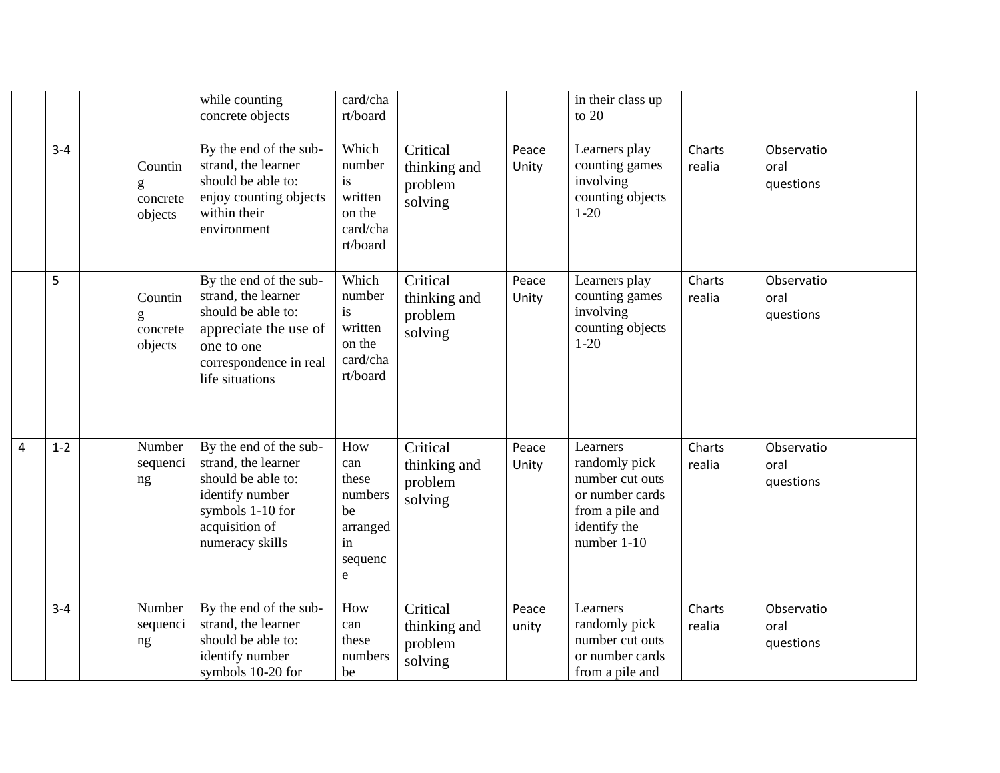|   |         |                                     | while counting<br>concrete objects                                                                                                                      | card/cha<br>rt/board                                                   |                                                |                | in their class up<br>to $20$                                                                                      |                  |                                 |  |
|---|---------|-------------------------------------|---------------------------------------------------------------------------------------------------------------------------------------------------------|------------------------------------------------------------------------|------------------------------------------------|----------------|-------------------------------------------------------------------------------------------------------------------|------------------|---------------------------------|--|
|   | $3 - 4$ | Countin<br>g<br>concrete<br>objects | By the end of the sub-<br>strand, the learner<br>should be able to:<br>enjoy counting objects<br>within their<br>environment                            | Which<br>number<br>is<br>written<br>on the<br>card/cha<br>rt/board     | Critical<br>thinking and<br>problem<br>solving | Peace<br>Unity | Learners play<br>counting games<br>involving<br>counting objects<br>$1-20$                                        | Charts<br>realia | Observatio<br>oral<br>questions |  |
|   | 5       | Countin<br>g<br>concrete<br>objects | By the end of the sub-<br>strand, the learner<br>should be able to:<br>appreciate the use of<br>one to one<br>correspondence in real<br>life situations | Which<br>number<br>is<br>written<br>on the<br>card/cha<br>rt/board     | Critical<br>thinking and<br>problem<br>solving | Peace<br>Unity | Learners play<br>counting games<br>involving<br>counting objects<br>$1 - 20$                                      | Charts<br>realia | Observatio<br>oral<br>questions |  |
| 4 | $1 - 2$ | Number<br>sequenci<br>ng            | By the end of the sub-<br>strand, the learner<br>should be able to:<br>identify number<br>symbols 1-10 for<br>acquisition of<br>numeracy skills         | How<br>can<br>these<br>numbers<br>be<br>arranged<br>in<br>sequenc<br>e | Critical<br>thinking and<br>problem<br>solving | Peace<br>Unity | Learners<br>randomly pick<br>number cut outs<br>or number cards<br>from a pile and<br>identify the<br>number 1-10 | Charts<br>realia | Observatio<br>oral<br>questions |  |
|   | $3 - 4$ | Number<br>sequenci<br>ng            | By the end of the sub-<br>strand, the learner<br>should be able to:<br>identify number<br>symbols 10-20 for                                             | How<br>can<br>these<br>numbers<br>be                                   | Critical<br>thinking and<br>problem<br>solving | Peace<br>unity | Learners<br>randomly pick<br>number cut outs<br>or number cards<br>from a pile and                                | Charts<br>realia | Observatio<br>oral<br>questions |  |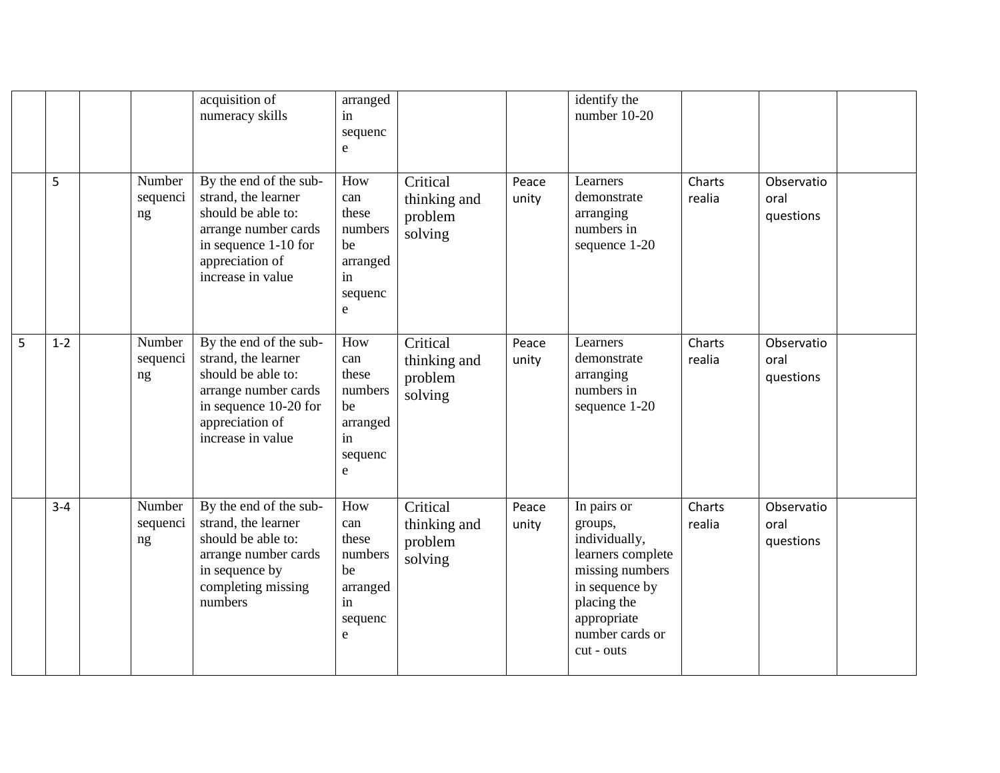|   |         |                          | acquisition of<br>numeracy skills                                                                                                                            | arranged<br>in<br>sequenc<br>e                                                 |                                                |                | identify the<br>number 10-20                                                                                                                                     |                  |                                 |  |
|---|---------|--------------------------|--------------------------------------------------------------------------------------------------------------------------------------------------------------|--------------------------------------------------------------------------------|------------------------------------------------|----------------|------------------------------------------------------------------------------------------------------------------------------------------------------------------|------------------|---------------------------------|--|
|   | 5       | Number<br>sequenci<br>ng | By the end of the sub-<br>strand, the learner<br>should be able to:<br>arrange number cards<br>in sequence 1-10 for<br>appreciation of<br>increase in value  | How<br>can<br>these<br>numbers<br>be<br>arranged<br>in<br>sequenc<br>e         | Critical<br>thinking and<br>problem<br>solving | Peace<br>unity | Learners<br>demonstrate<br>arranging<br>numbers in<br>sequence 1-20                                                                                              | Charts<br>realia | Observatio<br>oral<br>questions |  |
| 5 | $1 - 2$ | Number<br>sequenci<br>ng | By the end of the sub-<br>strand, the learner<br>should be able to:<br>arrange number cards<br>in sequence 10-20 for<br>appreciation of<br>increase in value | How<br>can<br>these<br>numbers<br>be<br>arranged<br>in<br>sequenc<br>${\bf e}$ | Critical<br>thinking and<br>problem<br>solving | Peace<br>unity | Learners<br>demonstrate<br>arranging<br>numbers in<br>sequence 1-20                                                                                              | Charts<br>realia | Observatio<br>oral<br>questions |  |
|   | $3 - 4$ | Number<br>sequenci<br>ng | By the end of the sub-<br>strand, the learner<br>should be able to:<br>arrange number cards<br>in sequence by<br>completing missing<br>numbers               | How<br>can<br>these<br>numbers<br>be<br>arranged<br>in<br>sequenc<br>e         | Critical<br>thinking and<br>problem<br>solving | Peace<br>unity | In pairs or<br>groups,<br>individually,<br>learners complete<br>missing numbers<br>in sequence by<br>placing the<br>appropriate<br>number cards or<br>cut - outs | Charts<br>realia | Observatio<br>oral<br>questions |  |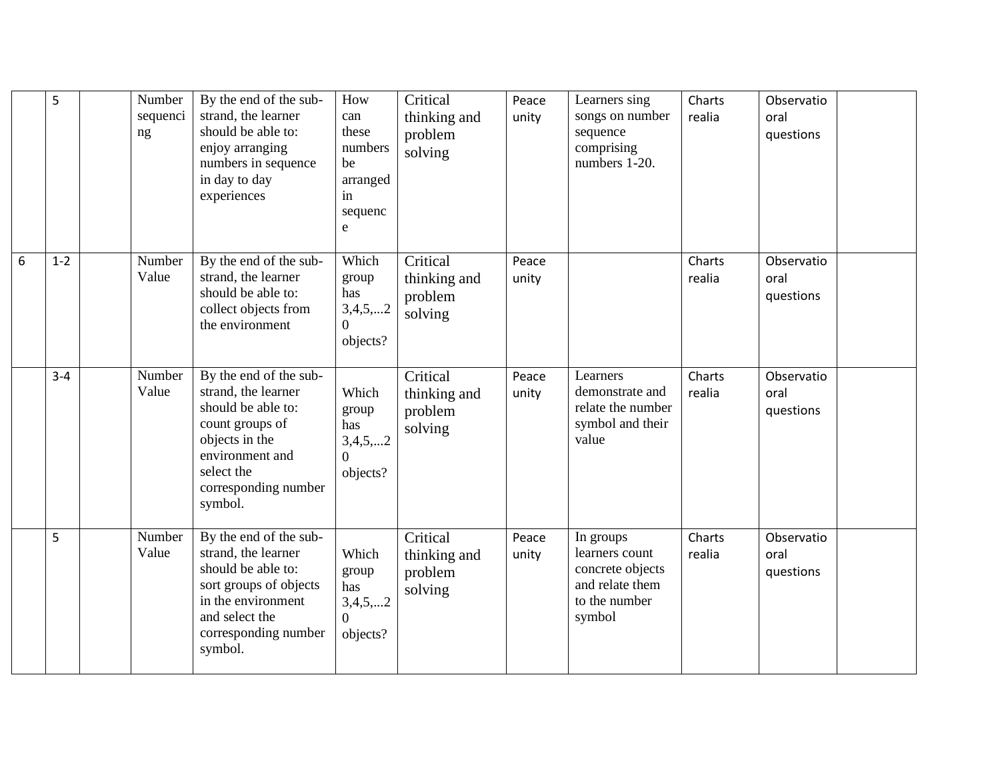|   | 5       | Number<br>sequenci<br>ng | By the end of the sub-<br>strand, the learner<br>should be able to:<br>enjoy arranging<br>numbers in sequence<br>in day to day<br>experiences                                | How<br>can<br>these<br>numbers<br>be<br>arranged<br>in<br>sequenc<br>e | Critical<br>thinking and<br>problem<br>solving | Peace<br>unity | Learners sing<br>songs on number<br>sequence<br>comprising<br>numbers 1-20.                   | Charts<br>realia | Observatio<br>oral<br>questions |
|---|---------|--------------------------|------------------------------------------------------------------------------------------------------------------------------------------------------------------------------|------------------------------------------------------------------------|------------------------------------------------|----------------|-----------------------------------------------------------------------------------------------|------------------|---------------------------------|
| 6 | $1 - 2$ | Number<br>Value          | By the end of the sub-<br>strand, the learner<br>should be able to:<br>collect objects from<br>the environment                                                               | Which<br>group<br>has<br>3,4,5,2<br>0<br>objects?                      | Critical<br>thinking and<br>problem<br>solving | Peace<br>unity |                                                                                               | Charts<br>realia | Observatio<br>oral<br>questions |
|   | $3 - 4$ | Number<br>Value          | By the end of the sub-<br>strand, the learner<br>should be able to:<br>count groups of<br>objects in the<br>environment and<br>select the<br>corresponding number<br>symbol. | Which<br>group<br>has<br>3,4,5,2<br>$\overline{0}$<br>objects?         | Critical<br>thinking and<br>problem<br>solving | Peace<br>unity | Learners<br>demonstrate and<br>relate the number<br>symbol and their<br>value                 | Charts<br>realia | Observatio<br>oral<br>questions |
|   | 5       | Number<br>Value          | By the end of the sub-<br>strand, the learner<br>should be able to:<br>sort groups of objects<br>in the environment<br>and select the<br>corresponding number<br>symbol.     | Which<br>group<br>has<br>3,4,5,2<br>$\Omega$<br>objects?               | Critical<br>thinking and<br>problem<br>solving | Peace<br>unity | In groups<br>learners count<br>concrete objects<br>and relate them<br>to the number<br>symbol | Charts<br>realia | Observatio<br>oral<br>questions |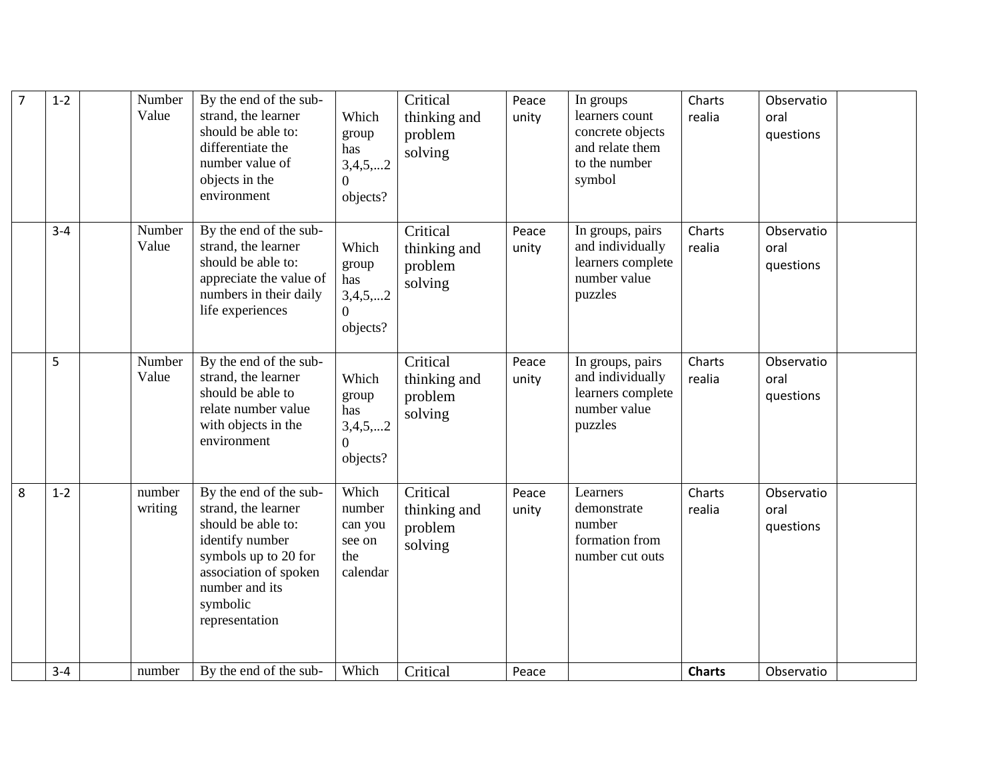| $\overline{7}$ | $1-2$   | Number<br>Value   | By the end of the sub-<br>strand, the learner<br>should be able to:<br>differentiate the<br>number value of<br>objects in the<br>environment                                            | Which<br>group<br>has<br>3,4,5,2<br>$\overline{0}$<br>objects? | Critical<br>thinking and<br>problem<br>solving | Peace<br>unity | In groups<br>learners count<br>concrete objects<br>and relate them<br>to the number<br>symbol | Charts<br>realia | Observatio<br>oral<br>questions |  |
|----------------|---------|-------------------|-----------------------------------------------------------------------------------------------------------------------------------------------------------------------------------------|----------------------------------------------------------------|------------------------------------------------|----------------|-----------------------------------------------------------------------------------------------|------------------|---------------------------------|--|
|                | $3 - 4$ | Number<br>Value   | By the end of the sub-<br>strand, the learner<br>should be able to:<br>appreciate the value of<br>numbers in their daily<br>life experiences                                            | Which<br>group<br>has<br>3,4,5,2<br>$\overline{0}$<br>objects? | Critical<br>thinking and<br>problem<br>solving | Peace<br>unity | In groups, pairs<br>and individually<br>learners complete<br>number value<br>puzzles          | Charts<br>realia | Observatio<br>oral<br>questions |  |
|                | 5       | Number<br>Value   | By the end of the sub-<br>strand, the learner<br>should be able to<br>relate number value<br>with objects in the<br>environment                                                         | Which<br>group<br>has<br>3,4,5,2<br>$\theta$<br>objects?       | Critical<br>thinking and<br>problem<br>solving | Peace<br>unity | In groups, pairs<br>and individually<br>learners complete<br>number value<br>puzzles          | Charts<br>realia | Observatio<br>oral<br>questions |  |
| 8              | $1 - 2$ | number<br>writing | By the end of the sub-<br>strand, the learner<br>should be able to:<br>identify number<br>symbols up to 20 for<br>association of spoken<br>number and its<br>symbolic<br>representation | Which<br>number<br>can you<br>see on<br>the<br>calendar        | Critical<br>thinking and<br>problem<br>solving | Peace<br>unity | Learners<br>demonstrate<br>number<br>formation from<br>number cut outs                        | Charts<br>realia | Observatio<br>oral<br>questions |  |
|                | $3 - 4$ | number            | By the end of the sub-                                                                                                                                                                  | Which                                                          | Critical                                       | Peace          |                                                                                               | <b>Charts</b>    | Observatio                      |  |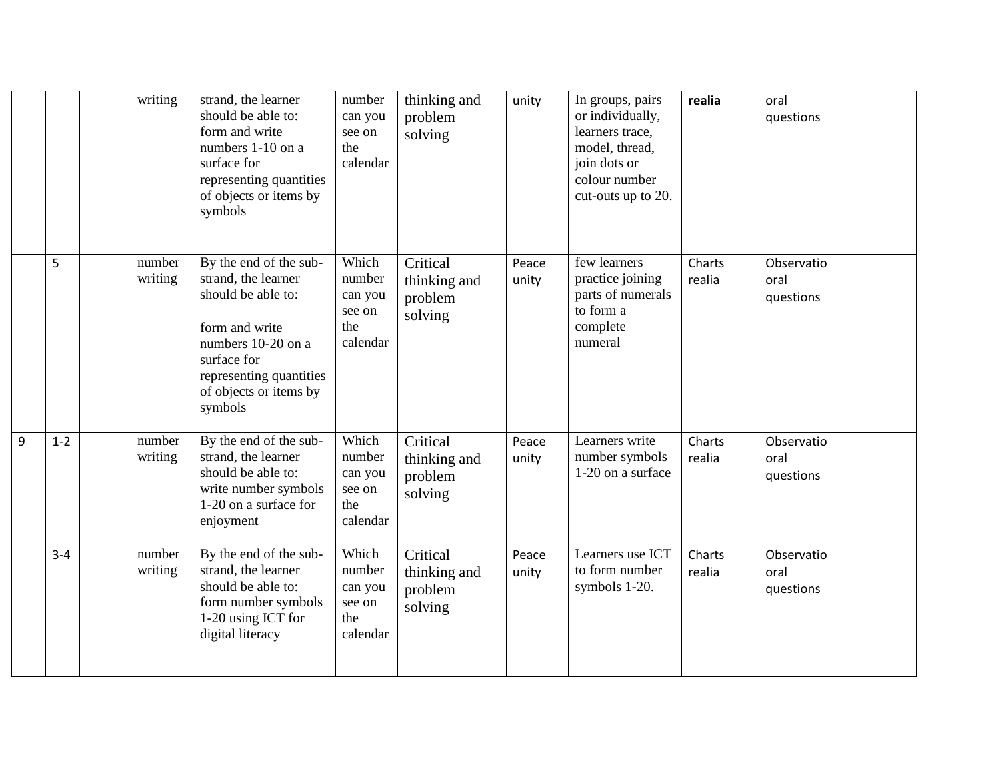|   |         | writing           | strand, the learner<br>should be able to:<br>form and write<br>numbers 1-10 on a<br>surface for<br>representing quantities<br>of objects or items by<br>symbols                            | number<br>can you<br>see on<br>the<br>calendar          | thinking and<br>problem<br>solving             | unity          | In groups, pairs<br>or individually,<br>learners trace,<br>model, thread,<br>join dots or<br>colour number<br>cut-outs up to 20. | realia           | oral<br>questions               |  |
|---|---------|-------------------|--------------------------------------------------------------------------------------------------------------------------------------------------------------------------------------------|---------------------------------------------------------|------------------------------------------------|----------------|----------------------------------------------------------------------------------------------------------------------------------|------------------|---------------------------------|--|
|   | 5       | number<br>writing | By the end of the sub-<br>strand, the learner<br>should be able to:<br>form and write<br>numbers 10-20 on a<br>surface for<br>representing quantities<br>of objects or items by<br>symbols | Which<br>number<br>can you<br>see on<br>the<br>calendar | Critical<br>thinking and<br>problem<br>solving | Peace<br>unity | few learners<br>practice joining<br>parts of numerals<br>to form a<br>complete<br>numeral                                        | Charts<br>realia | Observatio<br>oral<br>questions |  |
| 9 | $1 - 2$ | number<br>writing | By the end of the sub-<br>strand, the learner<br>should be able to:<br>write number symbols<br>1-20 on a surface for<br>enjoyment                                                          | Which<br>number<br>can you<br>see on<br>the<br>calendar | Critical<br>thinking and<br>problem<br>solving | Peace<br>unity | Learners write<br>number symbols<br>1-20 on a surface                                                                            | Charts<br>realia | Observatio<br>oral<br>questions |  |
|   | $3 - 4$ | number<br>writing | By the end of the sub-<br>strand, the learner<br>should be able to:<br>form number symbols<br>1-20 using ICT for<br>digital literacy                                                       | Which<br>number<br>can you<br>see on<br>the<br>calendar | Critical<br>thinking and<br>problem<br>solving | Peace<br>unity | Learners use ICT<br>to form number<br>symbols 1-20.                                                                              | Charts<br>realia | Observatio<br>oral<br>questions |  |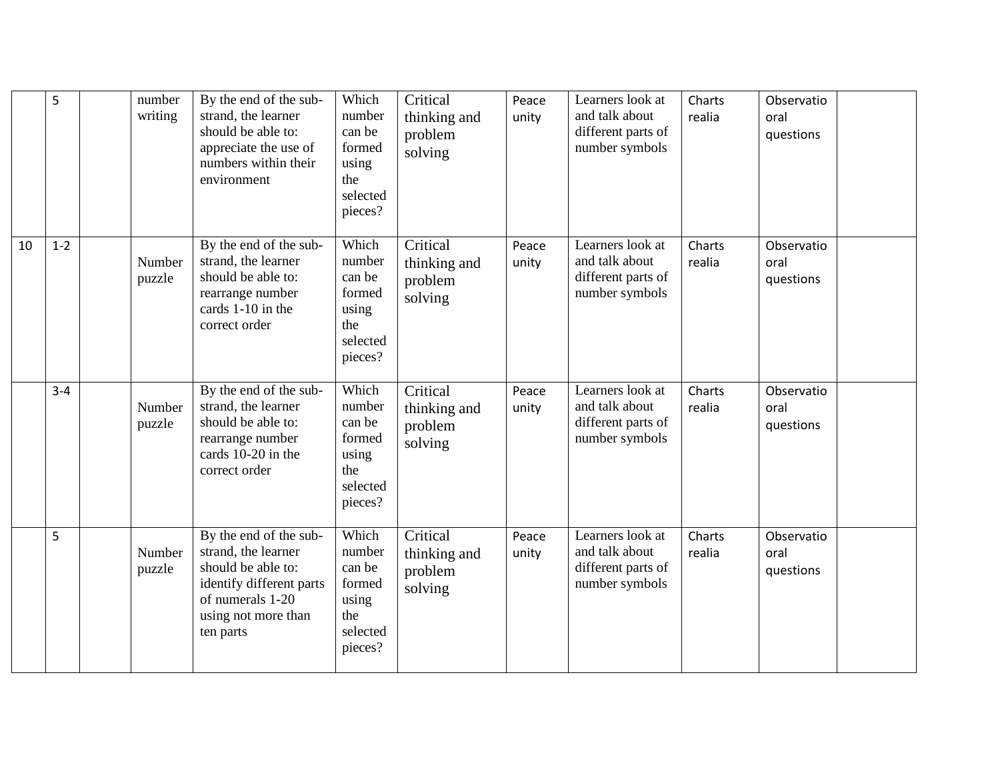|    | 5       | number<br>writing | By the end of the sub-<br>strand, the learner<br>should be able to:<br>appreciate the use of<br>numbers within their<br>environment                     | Which<br>number<br>can be<br>formed<br>using<br>the<br>selected<br>pieces? | Critical<br>thinking and<br>problem<br>solving | Peace<br>unity | Learners look at<br>and talk about<br>different parts of<br>number symbols | Charts<br>realia | Observatio<br>oral<br>questions |  |
|----|---------|-------------------|---------------------------------------------------------------------------------------------------------------------------------------------------------|----------------------------------------------------------------------------|------------------------------------------------|----------------|----------------------------------------------------------------------------|------------------|---------------------------------|--|
| 10 | $1 - 2$ | Number<br>puzzle  | By the end of the sub-<br>strand, the learner<br>should be able to:<br>rearrange number<br>cards 1-10 in the<br>correct order                           | Which<br>number<br>can be<br>formed<br>using<br>the<br>selected<br>pieces? | Critical<br>thinking and<br>problem<br>solving | Peace<br>unity | Learners look at<br>and talk about<br>different parts of<br>number symbols | Charts<br>realia | Observatio<br>oral<br>questions |  |
|    | $3-4$   | Number<br>puzzle  | By the end of the sub-<br>strand, the learner<br>should be able to:<br>rearrange number<br>cards 10-20 in the<br>correct order                          | Which<br>number<br>can be<br>formed<br>using<br>the<br>selected<br>pieces? | Critical<br>thinking and<br>problem<br>solving | Peace<br>unity | Learners look at<br>and talk about<br>different parts of<br>number symbols | Charts<br>realia | Observatio<br>oral<br>questions |  |
|    | 5       | Number<br>puzzle  | By the end of the sub-<br>strand, the learner<br>should be able to:<br>identify different parts<br>of numerals 1-20<br>using not more than<br>ten parts | Which<br>number<br>can be<br>formed<br>using<br>the<br>selected<br>pieces? | Critical<br>thinking and<br>problem<br>solving | Peace<br>unity | Learners look at<br>and talk about<br>different parts of<br>number symbols | Charts<br>realia | Observatio<br>oral<br>questions |  |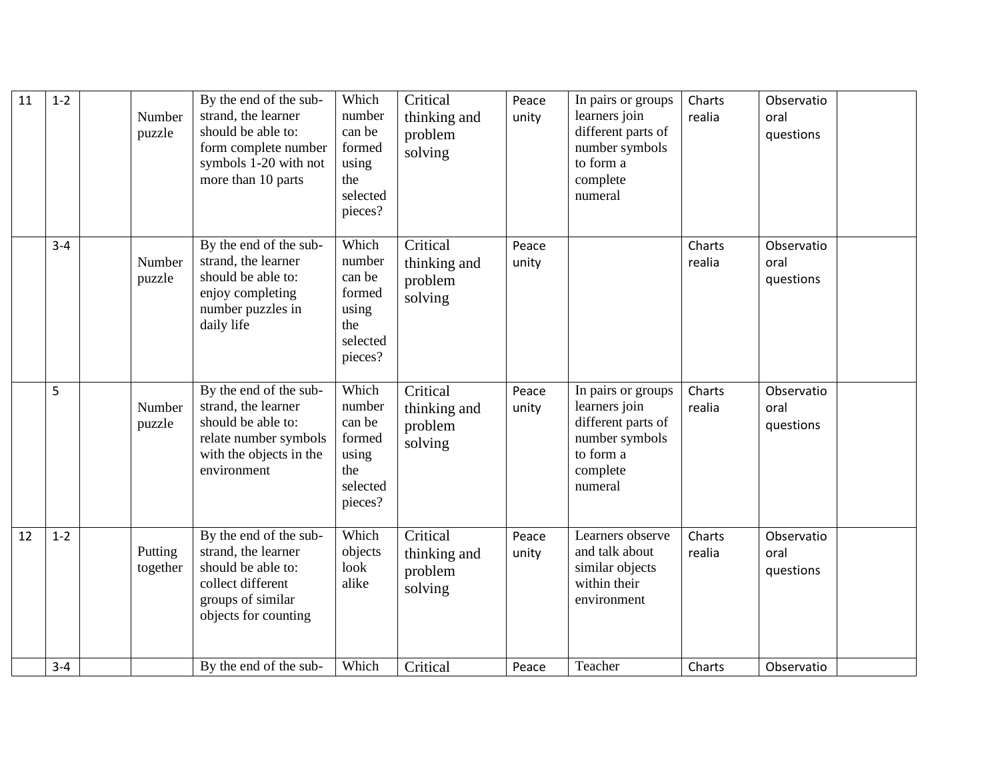| 11 | $1 - 2$ | Number<br>puzzle    | By the end of the sub-<br>strand, the learner<br>should be able to:<br>form complete number<br>symbols 1-20 with not<br>more than 10 parts | Which<br>number<br>can be<br>formed<br>using<br>the<br>selected<br>pieces? | Critical<br>thinking and<br>problem<br>solving | Peace<br>unity | In pairs or groups<br>learners join<br>different parts of<br>number symbols<br>to form a<br>complete<br>numeral | Charts<br>realia | Observatio<br>oral<br>questions |
|----|---------|---------------------|--------------------------------------------------------------------------------------------------------------------------------------------|----------------------------------------------------------------------------|------------------------------------------------|----------------|-----------------------------------------------------------------------------------------------------------------|------------------|---------------------------------|
|    | $3 - 4$ | Number<br>puzzle    | By the end of the sub-<br>strand, the learner<br>should be able to:<br>enjoy completing<br>number puzzles in<br>daily life                 | Which<br>number<br>can be<br>formed<br>using<br>the<br>selected<br>pieces? | Critical<br>thinking and<br>problem<br>solving | Peace<br>unity |                                                                                                                 | Charts<br>realia | Observatio<br>oral<br>questions |
|    | 5       | Number<br>puzzle    | By the end of the sub-<br>strand, the learner<br>should be able to:<br>relate number symbols<br>with the objects in the<br>environment     | Which<br>number<br>can be<br>formed<br>using<br>the<br>selected<br>pieces? | Critical<br>thinking and<br>problem<br>solving | Peace<br>unity | In pairs or groups<br>learners join<br>different parts of<br>number symbols<br>to form a<br>complete<br>numeral | Charts<br>realia | Observatio<br>oral<br>questions |
| 12 | $1 - 2$ | Putting<br>together | By the end of the sub-<br>strand, the learner<br>should be able to:<br>collect different<br>groups of similar<br>objects for counting      | Which<br>objects<br>look<br>alike                                          | Critical<br>thinking and<br>problem<br>solving | Peace<br>unity | Learners observe<br>and talk about<br>similar objects<br>within their<br>environment                            | Charts<br>realia | Observatio<br>oral<br>questions |
|    | $3 - 4$ |                     | By the end of the sub-                                                                                                                     | Which                                                                      | Critical                                       | Peace          | Teacher                                                                                                         | Charts           | Observatio                      |